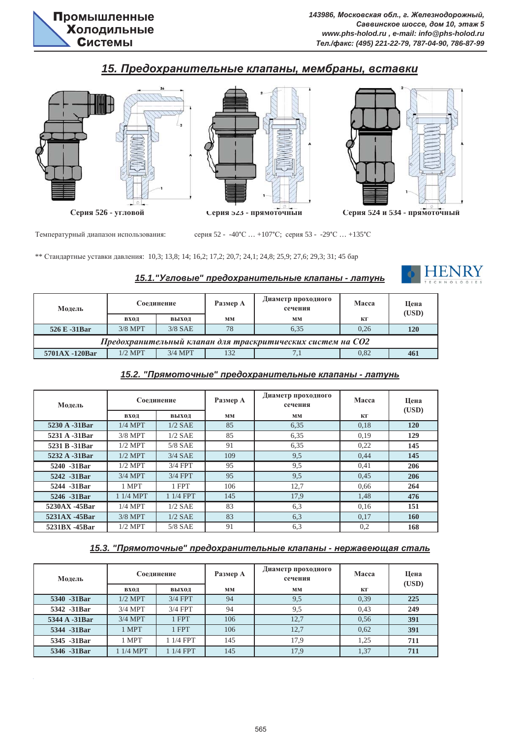# $15.$  Предохранительные клапаны, мембраны, вставки







Температурный диапазон использования:

серия 52 - -40°С ... +107°С; серия 53 - -29°С ... +135°С

\*\* Стандартные уставки давления: 10,3; 13,8; 14; 16,2; 17,2; 20,7; 24,1; 24,8; 25,9; 27,6; 29,3; 31; 45 бар

### $15.1$ . "Угловые" предохранительные клапаны - латунь



| Модель                                                     | Соединение |           | Размер А | Диаметр проходного<br>сечения | Macca | Шена<br>(USD) |  |  |
|------------------------------------------------------------|------------|-----------|----------|-------------------------------|-------|---------------|--|--|
|                                                            | вход       | выход     | MM       | MM                            | кг    |               |  |  |
| 526 E -31Bar                                               | $3/8$ MPT  | $3/8$ SAE | 78       | 6.35                          | 0.26  | <b>120</b>    |  |  |
| Предохранительный клапан для траскритических систем на СО2 |            |           |          |                               |       |               |  |  |
| 5701AX -120Bar                                             | $1/2$ MPT  | $3/4$ MPT | 132      | 7,1                           | 0.82  | 461           |  |  |

# **15.2. "Прямоточные" предохранительные клапаны - латунь**

| Молель         | Соединение |           | Размер А | Диаметр проходного<br>сечения | <b>Macca</b> | Цена<br>(USD) |
|----------------|------------|-----------|----------|-------------------------------|--------------|---------------|
|                | вход       | выход     | MM       | MM                            | КГ           |               |
| 5230 A -31Bar  | $1/4$ MPT  | $1/2$ SAE | 85       | 6.35                          | 0.18         | 120           |
| 5231 A -31Bar  | $3/8$ MPT  | $1/2$ SAE | 85       | 6,35                          | 0.19         | 129           |
| 5231 B -31 Bar | $1/2$ MPT  | $5/8$ SAE | 91       | 6,35                          | 0.22         | 145           |
| 5232 A -31Bar  | $1/2$ MPT  | $3/4$ SAE | 109      | 9,5                           | 0,44         | 145           |
| 5240 -31Bar    | $1/2$ MPT  | $3/4$ FPT | 95       | 9,5                           | 0.41         | 206           |
| 5242 -31Bar    | $3/4$ MPT  | $3/4$ FPT | 95       | 9,5                           | 0.45         | 206           |
| 5244 -31Bar    | 1 MPT      | 1 FPT     | 106      | 12,7                          | 0.66         | 264           |
| 5246 -31Bar    | 1 1/4 MPT  | 1 1/4 FPT | 145      | 17.9                          | 1,48         | 476           |
| 5230AX -45Bar  | $1/4$ MPT  | $1/2$ SAE | 83       | 6,3                           | 0.16         | 151           |
| 5231AX -45Bar  | $3/8$ MPT  | $1/2$ SAE | 83       | 6,3                           | 0.17         | 160           |
| 5231BX -45Bar  | $1/2$ MPT  | $5/8$ SAE | 91       | 6,3                           | 0,2          | 168           |

## 15.3. "Прямоточные" предохранительные клапаны - нержавеющая сталь

| Модель        | Соединение |           | Размер А | Диаметр проходного<br>сечения | Macca | Цена<br>(USD) |
|---------------|------------|-----------|----------|-------------------------------|-------|---------------|
|               | вход       | выход     | MM       | MM                            | КГ    |               |
| 5340 -31Bar   | $1/2$ MPT  | $3/4$ FPT | 94       | 9,5                           | 0.39  | 225           |
| 5342 -31Bar   | $3/4$ MPT  | $3/4$ FPT | 94       | 9,5                           | 0.43  | 249           |
| 5344 A -31Bar | $3/4$ MPT  | 1 FPT     | 106      | 12,7                          | 0.56  | 391           |
| 5344 -31Bar   | 1 MPT      | 1 FPT     | 106      | 12,7                          | 0.62  | 391           |
| 5345 -31Bar   | 1 MPT      | 1 1/4 FPT | 145      | 17,9                          | 1,25  | 711           |
| 5346 -31Bar   | $1/4$ MPT  | $1/4$ FPT | 145      | 17,9                          | 1,37  | 711           |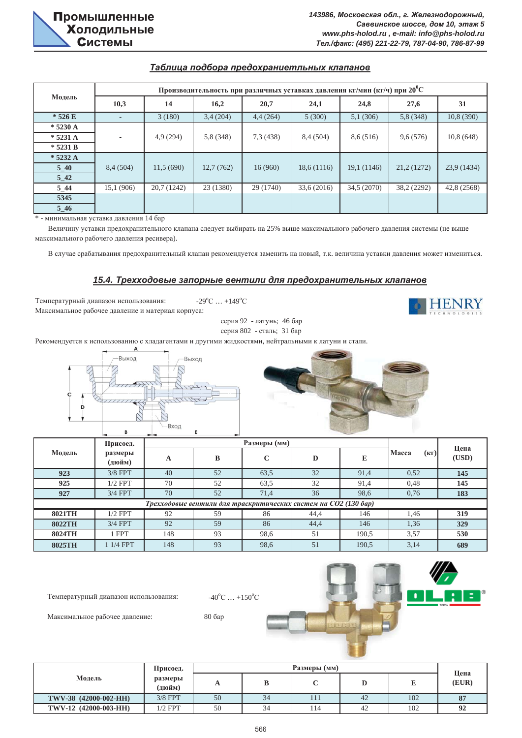### **Таблица подбора предохраниетльных клапанов**

|            | Производительность при различных уставках давления кг/мин (кг/ч) при $20^{\circ}$ С |             |           |           |             |             |             |             |  |  |
|------------|-------------------------------------------------------------------------------------|-------------|-----------|-----------|-------------|-------------|-------------|-------------|--|--|
| Модель     | 10,3                                                                                | 14          | 16,2      | 20,7      | 24,1        | 24,8        | 27,6        | 31          |  |  |
| $*526E$    | $\overline{\phantom{a}}$                                                            | 3(180)      | 3,4(204)  | 4,4(264)  | 5(300)      | 5,1(306)    | 5,8(348)    | 10,8(390)   |  |  |
| $* 5230 A$ |                                                                                     |             |           |           |             |             |             |             |  |  |
| $* 5231 A$ |                                                                                     | 4,9(294)    | 5,8 (348) | 7,3(438)  | 8,4 (504)   | 8,6 (516)   | 9,6(576)    | 10,8(648)   |  |  |
| $* 5231 B$ |                                                                                     |             |           |           |             |             |             |             |  |  |
| $* 5232 A$ |                                                                                     |             |           |           |             |             |             |             |  |  |
| $5-40$     | 8,4(504)                                                                            | 11.5(690)   | 12,7(762) | 16(960)   | 18,6(1116)  | 19,1 (1146) | 21,2 (1272) | 23,9 (1434) |  |  |
| $5\quad42$ |                                                                                     |             |           |           |             |             |             |             |  |  |
| $5_44$     | 15,1 (906)                                                                          | 20,7 (1242) | 23 (1380) | 29 (1740) | 33,6 (2016) | 34,5 (2070) | 38,2 (2292) | 42,8 (2568) |  |  |
| 5345       |                                                                                     |             |           |           |             |             |             |             |  |  |
| $5-46$     |                                                                                     |             |           |           |             |             |             |             |  |  |

 $*$  - минимальная уставка давления 14 бар

Величину уставки предохранительного клапана следует выбирать на 25% выше максимального рабочего давления системы (не выше максимального рабочего давления ресивера).

В случае срабатывания предохранительный клапан рекомендуется заменить на новый, т.к. величина уставки давления может измениться.

#### **15.4. Трехходовые запорные вентили для предохранительных клапанов**

Температурный диапазон использования: Максимальное рабочее давление и материал корпуса:

 $C ... +149^{\circ}C$ 



серия 802 - сталь; 31 бар серия 92 - латунь; 46 бар

Рекомендуется к использованию с хладагентами и другими жидкостями, нейтральными к латуни и стали.





|               | Присоед.          |     |    |                                                                 | Цена |       |               |       |
|---------------|-------------------|-----|----|-----------------------------------------------------------------|------|-------|---------------|-------|
| Модель        | размеры<br>(дюйм) | A   | B  | $\mathbf C$                                                     | D    | E     | Macca<br>(KF) | (USD) |
| 923           | $3/8$ FPT         | 40  | 52 | 63,5                                                            | 32   | 91,4  | 0.52          | 145   |
| 925           | $1/2$ FPT         | 70  | 52 | 63,5                                                            | 32   | 91,4  | 0.48          | 145   |
| 927           | $3/4$ FPT         | 70  | 52 | 71,4                                                            | 36   | 98,6  | 0.76          | 183   |
|               |                   |     |    | Трехходовые вентили для траскритических систем на СО2 (130 бар) |      |       |               |       |
| 8021TH        | $1/2$ FPT         | 92  | 59 | 86                                                              | 44,4 | 146   | 1.46          | 319   |
| <b>8022TH</b> | $3/4$ FPT         | 92  | 59 | 86                                                              | 44,4 | 146   | 1,36          | 329   |
| 8024TH        | l FPT             | 148 | 93 | 98,6                                                            | 51   | 190,5 | 3,57          | 530   |
| 8025TH        | $1/4$ FPT         | 148 | 93 | 98,6                                                            | 51   | 190,5 | 3,14          | 689   |

Температурный диапазон использования:

 $^{\circ}C$  ... +150 $^{\circ}C$ 

Максимальное рабочее давление: 80 бар





|                       | Присоед.          |    |    | Размеры (мм) |    |     |                          |
|-----------------------|-------------------|----|----|--------------|----|-----|--------------------------|
| Модель                | размеры<br>(дюйм) | A  | D  |              |    |     | Цена<br>(EUR)            |
| TWV-38 (42000-002-HH) | $3/8$ FPT         | 50 | 34 |              | 42 | 102 | $\Omega$<br>$\mathbf{d}$ |
| TWV-12 (42000-003-HH) | $1/2$ FPT         | 50 | 34 | 114          | 42 | 102 | $\mathbf{Q}$             |